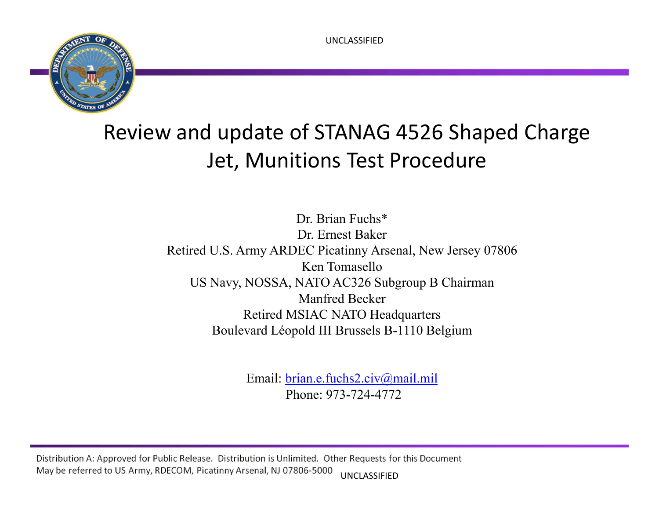UNCLASSIFIED



# Review and update of STANAG 4526 Shaped Charge Jet, Munitions Test Procedure

Dr. Brian Fuchs\*Dr. Ernest Baker Retired U.S. Army ARDEC Picatinny Arsenal, New Jersey 07806 Ken TomaselloUS Navy, NOSSA, NATO AC326 Subgroup B Chairman Manfred Becker Retired MSIAC NATO Headquarters Boulevard Léopold III Brussels B-1110 Belgium

> Email: brian.e.fuchs2.civ@mail.mil Phone: 973-724-4772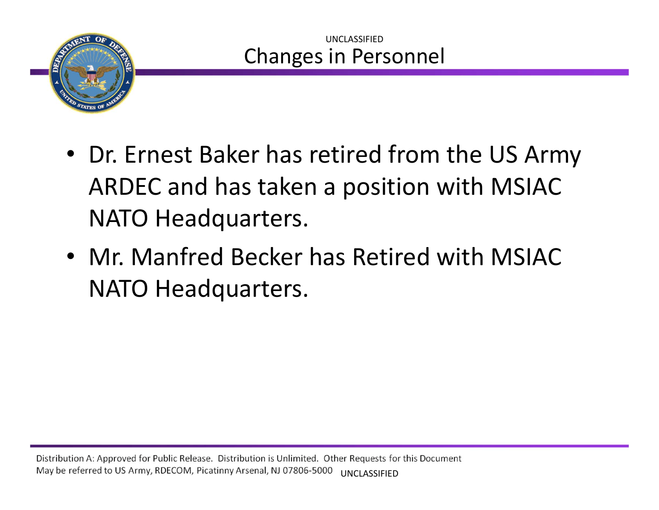

- Dr. Ernest Baker has retired from the US Army ARDEC and has taken <sup>a</sup> position with MSIAC NATO Headquarters.
- Mr. Manfred Becker has Retired with MSIACNATO Headquarters.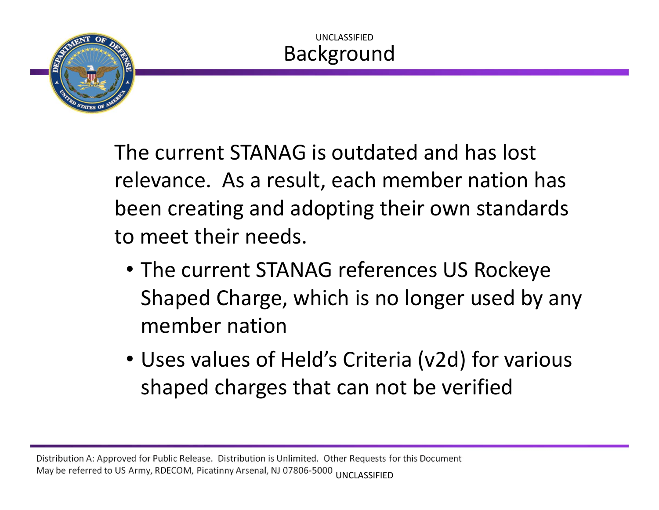

The current STANAG is outdated and has lost relevance. As a result, each member nation has been creating and adopting their own standards to meet their needs.

- The current STANAG references US Rockeye Shaped Charge, which is no longer used by any member nation
- Uses values of Held's Criteria (v2d) for various shaped charges that can not be verified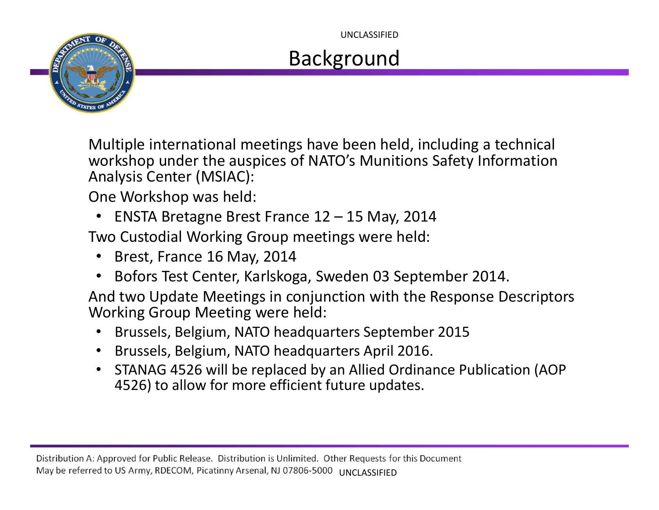UNCLASSIFIED

# Background

Multiple international meetings have been held, including <sup>a</sup> technical workshop under the auspices of NATO's Munitions Safety Information Analysis Center (MSIAC):

One Workshop was held:

•ENSTA Bretagne Brest France 12 – 15 May, 2014

Two Custodial Working Group meetings were held:

- Brest, France 16 May, 2014
- •Bofors Test Center, Karlskoga, Sweden 03 September 2014.

And two Update Meetings in conjunction with the Response Descriptors Working Group Meeting were held:

- •Brussels, Belgium, NATO headquarters September 2015
- Brussels, Belgium, NATO headquarters April 2016.
- STANAG 4526 will be replaced by an Allied Ordinance Publication (AOP 4526) to allow for more efficient future updates.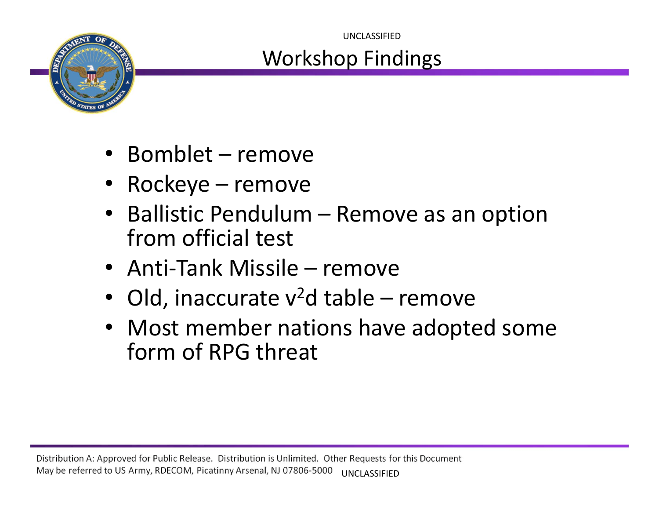

### Workshop Findings UNCLASSIFIED

- •• Bomblet – remove
- •Rockeye – remove
- •• Ballistic Pendulum – Remove as an option from official test
- Anti-Tank Missile remove
- Old, inaccurate  $v^2$ d table remove
- Most member nations have adopted some form of RPG threat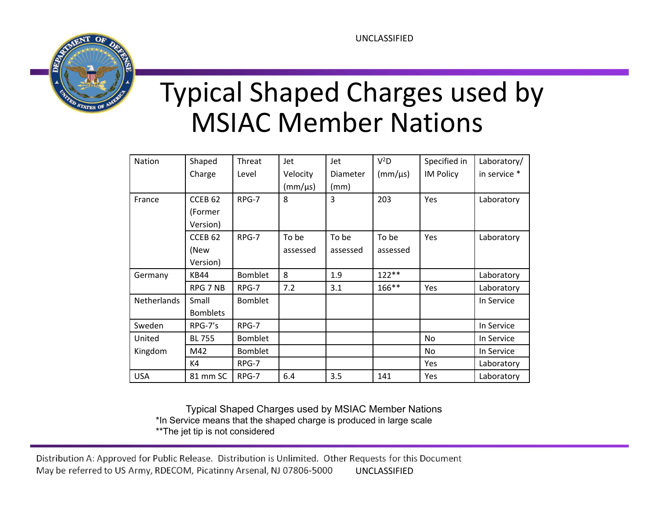

# Typical Shaped Charges used by MSIAC Member Nations

| Nation      | Shaped             | Threat         | Jet          | Jet      | $V^2D$       | Specified in     | Laboratory/  |
|-------------|--------------------|----------------|--------------|----------|--------------|------------------|--------------|
|             | Charge             | Level          | Velocity     | Diameter | $(mm/\mu s)$ | <b>IM Policy</b> | in service * |
|             |                    |                | $(mm/\mu s)$ | (mm)     |              |                  |              |
| France      | CCEB <sub>62</sub> | RPG-7          | 8            | 3        | 203          | Yes              | Laboratory   |
|             | (Former            |                |              |          |              |                  |              |
|             | Version)           |                |              |          |              |                  |              |
|             | CCEB <sub>62</sub> | RPG-7          | To be        | To be    | To be        | Yes              | Laboratory   |
|             | (New               |                | assessed     | assessed | assessed     |                  |              |
|             | Version)           |                |              |          |              |                  |              |
| Germany     | <b>KB44</b>        | <b>Bomblet</b> | 8            | 1.9      | 122**        |                  | Laboratory   |
|             | RPG 7 NB           | RPG-7          | 7.2          | 3.1      | 166**        | Yes              | Laboratory   |
| Netherlands | Small              | <b>Bomblet</b> |              |          |              |                  | In Service   |
|             | <b>Bomblets</b>    |                |              |          |              |                  |              |
| Sweden      | RPG-7's            | RPG-7          |              |          |              |                  | In Service   |
| United      | <b>BL 755</b>      | <b>Bomblet</b> |              |          |              | No               | In Service   |
| Kingdom     | M42                | <b>Bomblet</b> |              |          |              | No.              | In Service   |
|             | K4                 | RPG-7          |              |          |              | Yes              | Laboratory   |
| <b>USA</b>  | 81 mm SC           | RPG-7          | 6.4          | 3.5      | 141          | Yes              | Laboratory   |

Typical Shaped Charges used by MSIAC Member Nations \*In Service means that the shaped charge is produced in large scale \*\*The jet tip is not considered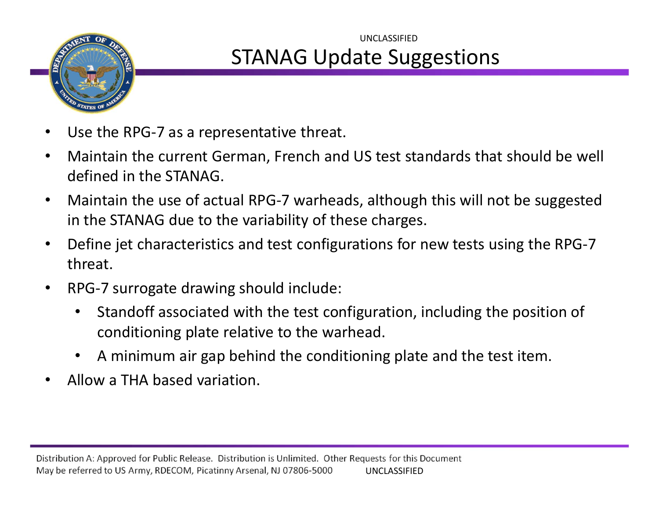

# STANAG Update Suggestions UNCLASSIFIED

- •Use the RPG‐7 as <sup>a</sup> representative threat.
- • Maintain the current German, French and US test standards that should be well defined in the STANAG.
- • Maintain the use of actual RPG‐7 warheads, although this will not be suggested in the STANAG due to the variability of these charges.
- • Define jet characteristics and test configurations for new tests using the RPG‐7 threat.
- •● RPG-7 surrogate drawing should include:
	- •• Standoff associated with the test configuration, including the position of conditioning plate relative to the warhead.
	- $\bullet$ A minimum air gap behind the conditioning plate and the test item.
- •• Allow a THA based variation.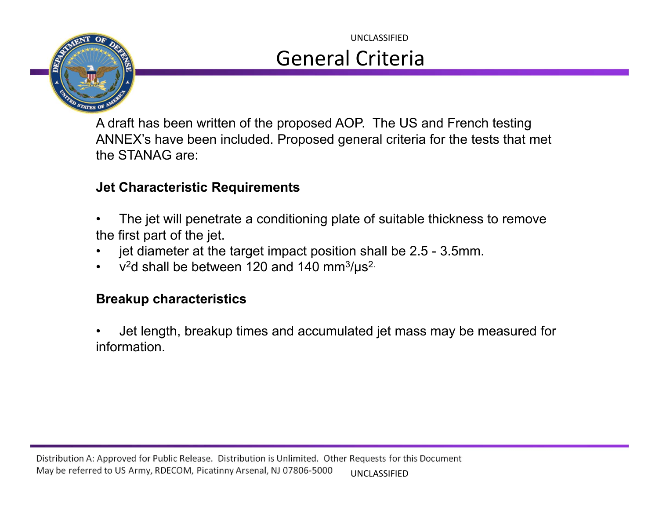

## General Criteria UNCLASSIFIED

A draft has been written of the proposed AOP. The US and French testing ANNEX's have been included. Proposed general criteria for the tests that met the STANAG are:

### **Jet Characteristic Requirements**

- • The jet will penetrate a conditioning plate of suitable thickness to remove the first part of the jet.
- •jet diameter at the target impact position shall be 2.5 - 3.5mm.
- • $v^2$ d shall be between 120 and 140 mm<sup>3</sup>/ $\mu$ s<sup>2.</sup>

#### **Breakup characteristics**

• Jet length, breakup times and accumulated jet mass may be measured for information.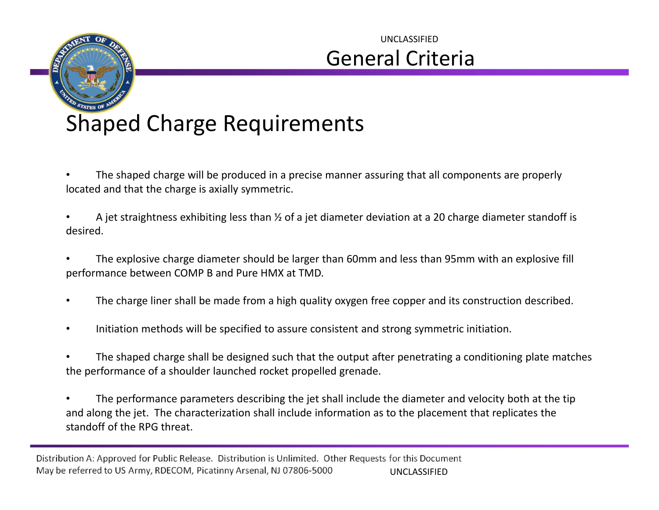

# General Criteria UNCLASSIFIED

# Shaped Charge Requirements

- • The shaped charge will be produced in <sup>a</sup> precise manner assuring that all components are properly located and that the charge is axially symmetric.
- • A jet straightness exhibiting less than ½ of <sup>a</sup> jet diameter deviation at <sup>a</sup> 20 charge diameter standoff is desired.
- • The explosive charge diameter should be larger than 60mm and less than 95mm with an explosive fill performance between COMP B and Pure HMX at TMD.
- •The charge liner shall be made from <sup>a</sup> high quality oxygen free copper and its construction described.
- •Initiation methods will be specified to assure consistent and strong symmetric initiation.
- • The shaped charge shall be designed such that the output after penetrating <sup>a</sup> conditioning plate matches the performance of <sup>a</sup> shoulder launched rocket propelled grenade.
- • The performance parameters describing the jet shall include the diameter and velocity both at the tip and along the jet. The characterization shall include information as to the placement that replicates the standoff of the RPG threat.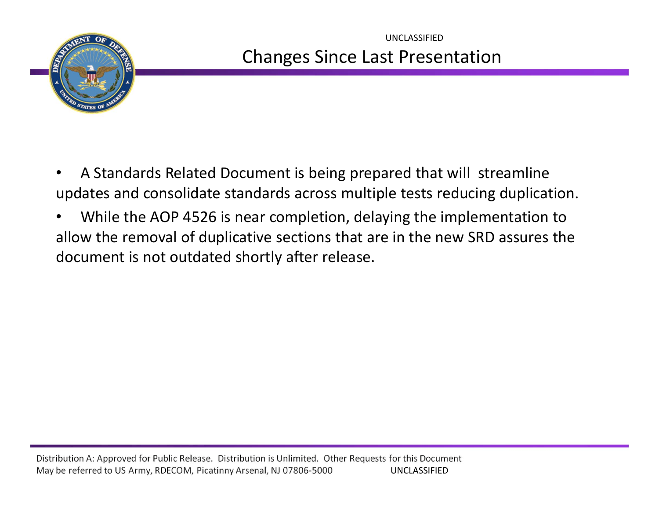

### Changes Since Last Presentation UNCLASSIFIED

- •• A Standards Related Document is being prepared that will streamline updates and consolidate standards across multiple tests reducing duplication.
- • While the AOP 4526 is near completion, delaying the implementation to allow the removal of duplicative sections that are in the new SRD assures the document is not outdated shortly after release.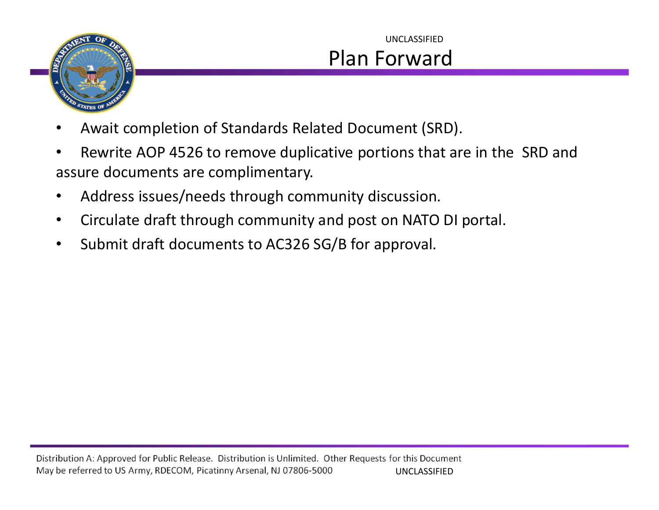

# Plan Forward UNCLASSIFIED

- •Await completion of Standards Related Document (SRD).
- •• Rewrite AOP 4526 to remove duplicative portions that are in the SRD and assure documents are complimentary.
- •Address issues/needs through community discussion.
- •Circulate draft through community and post on NATO DI portal.
- •• Submit draft documents to AC326 SG/B for approval.